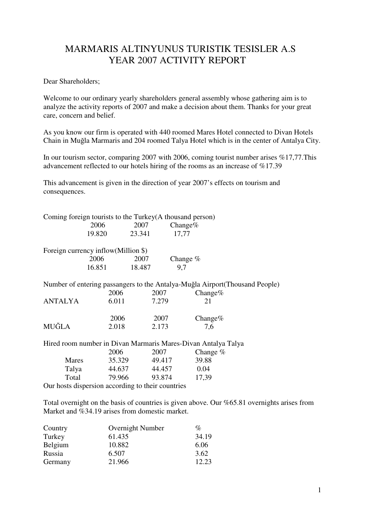## MARMARIS ALTINYUNUS TURISTIK TESISLER A.S YEAR 2007 ACTIVITY REPORT

Dear Shareholders;

Welcome to our ordinary yearly shareholders general assembly whose gathering aim is to analyze the activity reports of 2007 and make a decision about them. Thanks for your great care, concern and belief.

As you know our firm is operated with 440 roomed Mares Hotel connected to Divan Hotels Chain in Muğla Marmaris and 204 roomed Talya Hotel which is in the center of Antalya City.

In our tourism sector, comparing 2007 with 2006, coming tourist number arises %17,77.This advancement reflected to our hotels hiring of the rooms as an increase of %17.39

This advancement is given in the direction of year 2007's effects on tourism and consequences.

|                                                   |        |        | Coming foreign tourists to the Turkey (A thousand person)     |                                                                              |
|---------------------------------------------------|--------|--------|---------------------------------------------------------------|------------------------------------------------------------------------------|
|                                                   | 2006   | 2007   | Change $%$                                                    |                                                                              |
|                                                   | 19.820 | 23.341 | 17,77                                                         |                                                                              |
| Foreign currency inflow(Million \$)               |        |        |                                                               |                                                                              |
|                                                   | 2006   | 2007   | Change $%$                                                    |                                                                              |
|                                                   | 16.851 | 18.487 | 9,7                                                           |                                                                              |
|                                                   |        |        |                                                               | Number of entering passangers to the Antalya-Muğla Airport (Thousand People) |
|                                                   | 2006   | 2007   | Change $%$                                                    |                                                                              |
| <b>ANTALYA</b>                                    | 6.011  | 7.279  | 21                                                            |                                                                              |
|                                                   | 2006   | 2007   | Change $%$                                                    |                                                                              |
| MUĞLA                                             | 2.018  | 2.173  | 7,6                                                           |                                                                              |
|                                                   |        |        | Hired room number in Divan Marmaris Mares-Divan Antalya Talya |                                                                              |
|                                                   | 2006   | 2007   | Change $%$                                                    |                                                                              |
| Mares                                             | 35.329 | 49.417 | 39.88                                                         |                                                                              |
| Talya                                             | 44.637 | 44.457 | 0.04                                                          |                                                                              |
| Total                                             | 79.966 | 93.874 | 17,39                                                         |                                                                              |
| Our hosts dispersion according to their countries |        |        |                                                               |                                                                              |

Total overnight on the basis of countries is given above. Our %65.81 overnights arises from Market and %34.19 arises from domestic market.

| Country | Overnight Number | %     |
|---------|------------------|-------|
| Turkey  | 61.435           | 34.19 |
| Belgium | 10.882           | 6.06  |
| Russia  | 6.507            | 3.62  |
| Germany | 21.966           | 12.23 |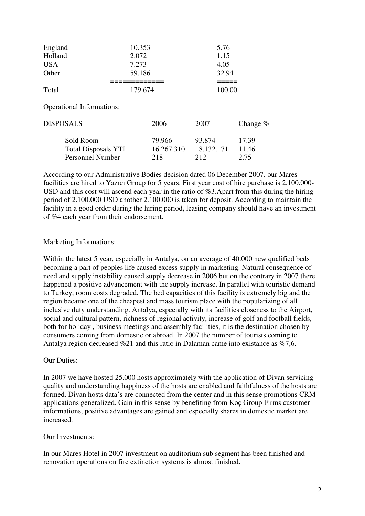| England<br>Holland<br><b>USA</b><br>Other                          | 10.353<br>2.072<br>7.273<br>59.186 | 5.76<br>1.15<br>4.05<br>32.94 |                        |
|--------------------------------------------------------------------|------------------------------------|-------------------------------|------------------------|
| Total                                                              | 179.674                            | 100.00                        |                        |
| <b>Operational Informations:</b>                                   |                                    |                               |                        |
| <b>DISPOSALS</b>                                                   | 2006                               | 2007                          | Change $%$             |
| Sold Room<br><b>Total Disposals YTL</b><br><b>Personnel Number</b> | 79.966<br>16.267.310<br>218        | 93.874<br>18.132.171<br>212   | 17.39<br>11,46<br>2.75 |

According to our Administrative Bodies decision dated 06 December 2007, our Mares facilities are hired to Yazıcı Group for 5 years. First year cost of hire purchase is 2.100.000- USD and this cost will ascend each year in the ratio of %3.Apart from this during the hiring period of 2.100.000 USD another 2.100.000 is taken for deposit. According to maintain the facility in a good order during the hiring period, leasing company should have an investment of %4 each year from their endorsement.

## Marketing Informations:

Within the latest 5 year, especially in Antalya, on an average of 40.000 new qualified beds becoming a part of peoples life caused excess supply in marketing. Natural consequence of need and supply instability caused supply decrease in 2006 but on the contrary in 2007 there happened a positive advancement with the supply increase. In parallel with touristic demand to Turkey, room costs degraded. The bed capacities of this facility is extremely big and the region became one of the cheapest and mass tourism place with the popularizing of all inclusive duty understanding. Antalya, especially with its facilities closeness to the Airport, social and cultural pattern, richness of regional activity, increase of golf and football fields, both for holiday , business meetings and assembly facilities, it is the destination chosen by consumers coming from domestic or abroad. In 2007 the number of tourists coming to Antalya region decreased %21 and this ratio in Dalaman came into existance as %7,6.

## Our Duties:

In 2007 we have hosted 25.000 hosts approximately with the application of Divan servicing quality and understanding happiness of the hosts are enabled and faithfulness of the hosts are formed. Divan hosts data's are connected from the center and in this sense promotions CRM applications generalized. Gain in this sense by benefiting from Koç Group Firms customer informations, positive advantages are gained and especially shares in domestic market are increased.

## Our Investments:

In our Mares Hotel in 2007 investment on auditorium sub segment has been finished and renovation operations on fire extinction systems is almost finished.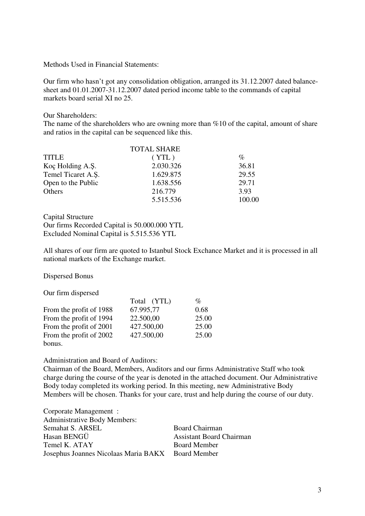Methods Used in Financial Statements:

Our firm who hasn't got any consolidation obligation, arranged its 31.12.2007 dated balancesheet and 01.01.2007-31.12.2007 dated period income table to the commands of capital markets board serial XI no 25.

Our Shareholders:

The name of the shareholders who are owning more than %10 of the capital, amount of share and ratios in the capital can be sequenced like this.

|                    | <b>TOTAL SHARE</b> |                 |
|--------------------|--------------------|-----------------|
| <b>TITLE</b>       | (YTL)              | $\mathcal{O}_0$ |
| Koç Holding A.Ş.   | 2.030.326          | 36.81           |
| Temel Ticaret A.S. | 1.629.875          | 29.55           |
| Open to the Public | 1.638.556          | 29.71           |
| Others             | 216.779            | 3.93            |
|                    | 5.515.536          | 100.00          |

Capital Structure Our firms Recorded Capital is 50.000.000 YTL Excluded Nominal Capital is 5.515.536 YTL

All shares of our firm are quoted to Istanbul Stock Exchance Market and it is processed in all national markets of the Exchange market.

Dispersed Bonus

Our firm dispersed

|                         | Total (YTL) | $\mathcal{O}_0$ |
|-------------------------|-------------|-----------------|
| From the profit of 1988 | 67.995,77   | 0.68            |
| From the profit of 1994 | 22.500,00   | 25.00           |
| From the profit of 2001 | 427.500,00  | 25.00           |
| From the profit of 2002 | 427.500,00  | 25.00           |
| bonus.                  |             |                 |

Administration and Board of Auditors:

Chairman of the Board, Members, Auditors and our firms Administrative Staff who took charge during the course of the year is denoted in the attached document. Our Administrative Body today completed its working period. In this meeting, new Administrative Body Members will be chosen. Thanks for your care, trust and help during the course of our duty.

Corporate Management : Administrative Body Members: Semahat S. ARSEL Board Chairman Hasan BENGÜ Assistant Board Chairman Temel K. ATAY Board Member Josephus Joannes Nicolaas Maria BAKX Board Member